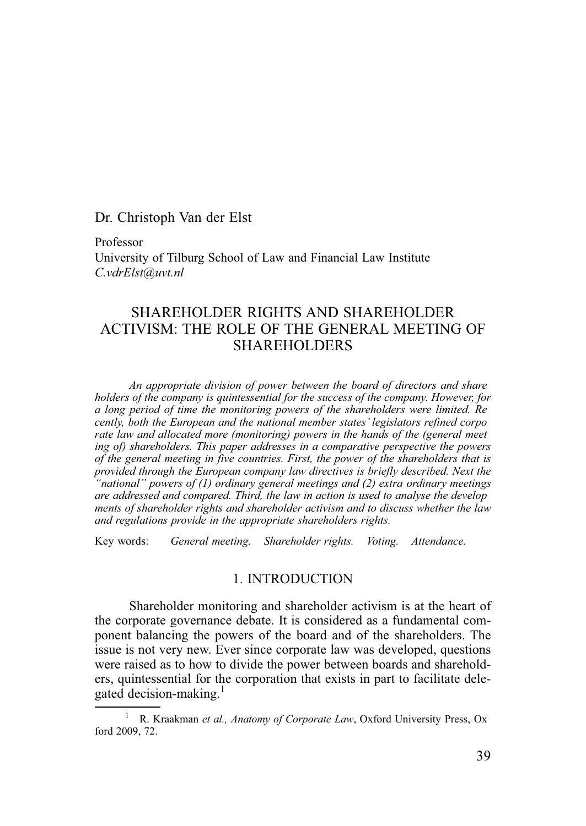Dr. Christoph Van der Elst

Professor University of Tilburg School of Law and Financial Law Institute *C.vdrElst@uvt.nl*

# SHAREHOLDER RIGHTS AND SHAREHOLDER ACTIVISM: THE ROLE OF THE GENERAL MEETING OF SHAREHOLDERS

*An appropriate division of power between the board of directors and share holders of the company is quintessential for the success of the company. However, for a long period of time the monitoring powers of the shareholders were limited. Re cently, both the European and the national member states' legislators refined corpo rate law and allocated more (monitoring) powers in the hands of the (general meet ing of) shareholders. This paper addresses in a comparative perspective the powers of the general meeting in five countries. First, the power of the shareholders that is provided through the European company law directives is briefly described. Next the "national" powers of (1) ordinary general meetings and (2) extra ordinary meetings are addressed and compared. Third, the law in action is used to analyse the develop ments of shareholder rights and shareholder activism and to discuss whether the law and regulations provide in the appropriate shareholders rights.*

Key words: *General meeting. Shareholder rights. Voting. Attendance.*

#### 1. INTRODUCTION

Shareholder monitoring and shareholder activism is at the heart of the corporate governance debate. It is considered as a fundamental component balancing the powers of the board and of the shareholders. The issue is not very new. Ever since corporate law was developed, questions were raised as to how to divide the power between boards and shareholders, quintessential for the corporation that exists in part to facilitate delegated decision-making. $<sup>1</sup>$ </sup>

<sup>1</sup> R. Kraakman *et al., Anatomy of Corporate Law*, Oxford University Press, Ox ford 2009, 72.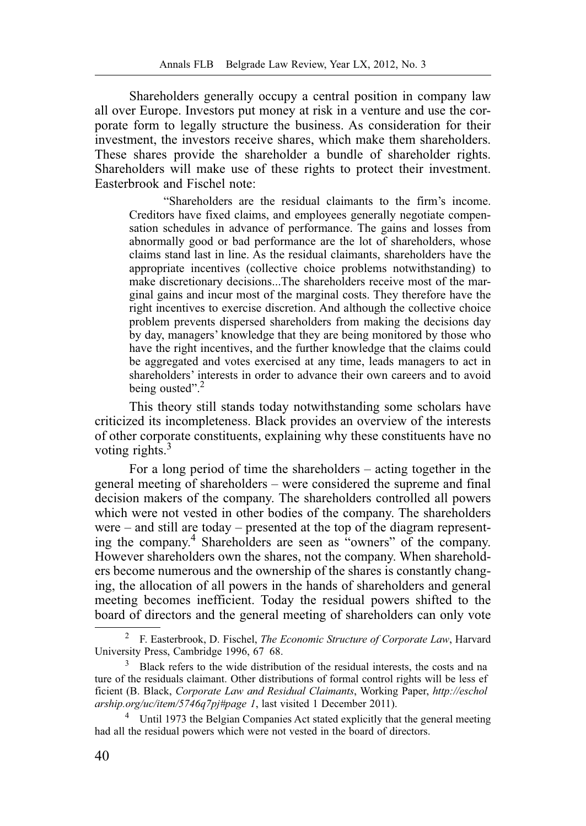Shareholders generally occupy a central position in company law all over Europe. Investors put money at risk in a venture and use the corporate form to legally structure the business. As consideration for their investment, the investors receive shares, which make them shareholders. These shares provide the shareholder a bundle of shareholder rights. Shareholders will make use of these rights to protect their investment. Easterbrook and Fischel note:

"Shareholders are the residual claimants to the firm's income. Creditors have fixed claims, and employees generally negotiate compensation schedules in advance of performance. The gains and losses from abnormally good or bad performance are the lot of shareholders, whose claims stand last in line. As the residual claimants, shareholders have the appropriate incentives (collective choice problems notwithstanding) to make discretionary decisions...The shareholders receive most of the marginal gains and incur most of the marginal costs. They therefore have the right incentives to exercise discretion. And although the collective choice problem prevents dispersed shareholders from making the decisions day by day, managers' knowledge that they are being monitored by those who have the right incentives, and the further knowledge that the claims could be aggregated and votes exercised at any time, leads managers to act in shareholders' interests in order to advance their own careers and to avoid being ousted".<sup>2</sup>

This theory still stands today notwithstanding some scholars have criticized its incompleteness. Black provides an overview of the interests of other corporate constituents, explaining why these constituents have no voting rights.<sup>3</sup>

For a long period of time the shareholders – acting together in the general meeting of shareholders – were considered the supreme and final decision makers of the company. The shareholders controlled all powers which were not vested in other bodies of the company. The shareholders were – and still are today – presented at the top of the diagram representing the company.<sup>4</sup> Shareholders are seen as "owners" of the company. However shareholders own the shares, not the company. When shareholders become numerous and the ownership of the shares is constantly changing, the allocation of all powers in the hands of shareholders and general meeting becomes inefficient. Today the residual powers shifted to the board of directors and the general meeting of shareholders can only vote

<sup>2</sup> F. Easterbrook, D. Fischel, *The Economic Structure of Corporate Law*, Harvard University Press, Cambridge 1996, 67 68.

<sup>&</sup>lt;sup>3</sup> Black refers to the wide distribution of the residual interests, the costs and na ture of the residuals claimant. Other distributions of formal control rights will be less ef ficient (B. Black, *Corporate Law and Residual Claimants*, Working Paper, *http://eschol arship.org/uc/item/5746q7pj#page 1*, last visited 1 December 2011).

<sup>&</sup>lt;sup>4</sup> Until 1973 the Belgian Companies Act stated explicitly that the general meeting had all the residual powers which were not vested in the board of directors.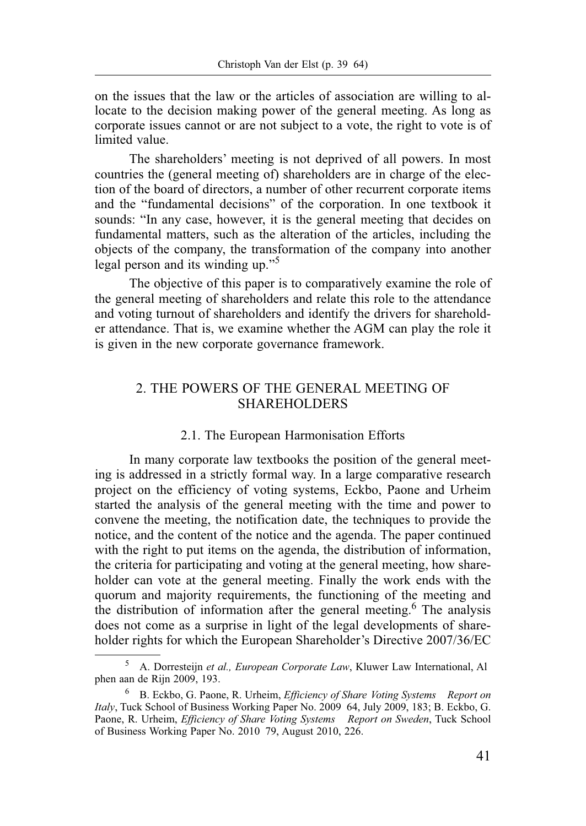on the issues that the law or the articles of association are willing to allocate to the decision making power of the general meeting. As long as corporate issues cannot or are not subject to a vote, the right to vote is of limited value.

The shareholders' meeting is not deprived of all powers. In most countries the (general meeting of) shareholders are in charge of the election of the board of directors, a number of other recurrent corporate items and the "fundamental decisions" of the corporation. In one textbook it sounds: "In any case, however, it is the general meeting that decides on fundamental matters, such as the alteration of the articles, including the objects of the company, the transformation of the company into another legal person and its winding up."<sup>5</sup>

The objective of this paper is to comparatively examine the role of the general meeting of shareholders and relate this role to the attendance and voting turnout of shareholders and identify the drivers for shareholder attendance. That is, we examine whether the AGM can play the role it is given in the new corporate governance framework.

## 2. THE POWERS OF THE GENERAL MEETING OF SHAREHOLDERS

#### 2.1. The European Harmonisation Efforts

In many corporate law textbooks the position of the general meeting is addressed in a strictly formal way. In a large comparative research project on the efficiency of voting systems, Eckbo, Paone and Urheim started the analysis of the general meeting with the time and power to convene the meeting, the notification date, the techniques to provide the notice, and the content of the notice and the agenda. The paper continued with the right to put items on the agenda, the distribution of information, the criteria for participating and voting at the general meeting, how shareholder can vote at the general meeting. Finally the work ends with the quorum and majority requirements, the functioning of the meeting and the distribution of information after the general meeting.<sup>6</sup> The analysis does not come as a surprise in light of the legal developments of shareholder rights for which the European Shareholder's Directive 2007/36/EC

<sup>5</sup> A. Dorresteijn *et al., European Corporate Law*, Kluwer Law International, Al phen aan de Rijn 2009, 193.

<sup>6</sup> B. Eckbo, G. Paone, R. Urheim, *Efficiency of Share Voting Systems Report on Italy*, Tuck School of Business Working Paper No. 2009 64, July 2009, 183; B. Eckbo, G. Paone, R. Urheim, *Efficiency of Share Voting Systems Report on Sweden*, Tuck School of Business Working Paper No. 2010 79, August 2010, 226.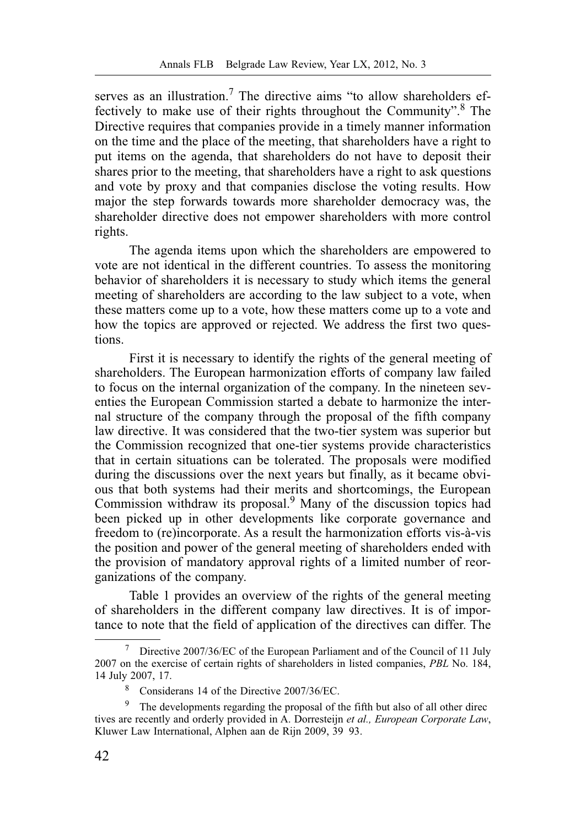serves as an illustration.<sup>7</sup> The directive aims "to allow shareholders effectively to make use of their rights throughout the Community".<sup>8</sup> The Directive requires that companies provide in a timely manner information on the time and the place of the meeting, that shareholders have a right to put items on the agenda, that shareholders do not have to deposit their shares prior to the meeting, that shareholders have a right to ask questions and vote by proxy and that companies disclose the voting results. How major the step forwards towards more shareholder democracy was, the shareholder directive does not empower shareholders with more control rights.

The agenda items upon which the shareholders are empowered to vote are not identical in the different countries. To assess the monitoring behavior of shareholders it is necessary to study which items the general meeting of shareholders are according to the law subject to a vote, when these matters come up to a vote, how these matters come up to a vote and how the topics are approved or rejected. We address the first two questions.

First it is necessary to identify the rights of the general meeting of shareholders. The European harmonization efforts of company law failed to focus on the internal organization of the company. In the nineteen seventies the European Commission started a debate to harmonize the internal structure of the company through the proposal of the fifth company law directive. It was considered that the two-tier system was superior but the Commission recognized that one-tier systems provide characteristics that in certain situations can be tolerated. The proposals were modified during the discussions over the next years but finally, as it became obvious that both systems had their merits and shortcomings, the European Commission withdraw its proposal.<sup>9</sup> Many of the discussion topics had been picked up in other developments like corporate governance and freedom to (re)incorporate. As a result the harmonization efforts vis-à-vis the position and power of the general meeting of shareholders ended with the provision of mandatory approval rights of a limited number of reorganizations of the company.

Table 1 provides an overview of the rights of the general meeting of shareholders in the different company law directives. It is of importance to note that the field of application of the directives can differ. The

<sup>&</sup>lt;sup>7</sup> Directive 2007/36/EC of the European Parliament and of the Council of 11 July 2007 on the exercise of certain rights of shareholders in listed companies, *PBL* No. 184, 14 July 2007, 17.

<sup>8</sup> Considerans 14 of the Directive 2007/36/EC.

<sup>&</sup>lt;sup>9</sup> The developments regarding the proposal of the fifth but also of all other direc tives are recently and orderly provided in A. Dorresteijn *et al., European Corporate Law*, Kluwer Law International, Alphen aan de Rijn 2009, 39 93.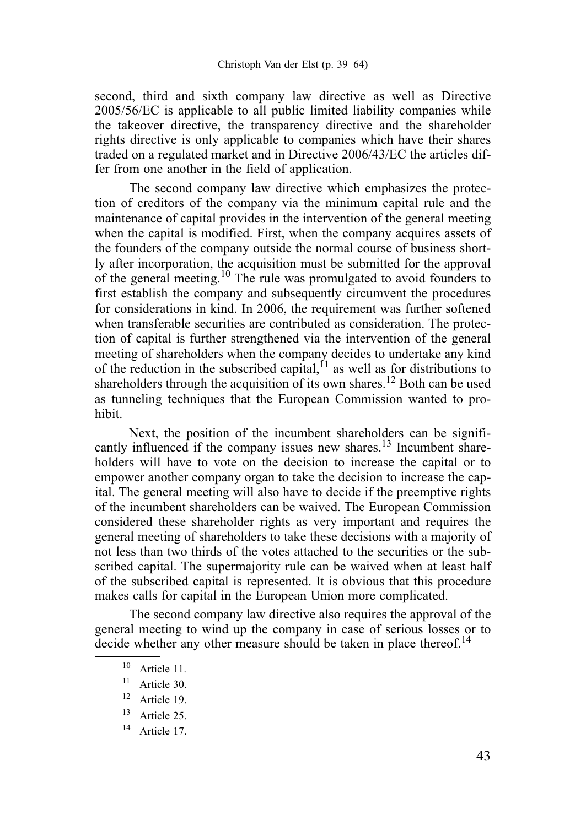second, third and sixth company law directive as well as Directive 2005/56/EC is applicable to all public limited liability companies while the takeover directive, the transparency directive and the shareholder rights directive is only applicable to companies which have their shares traded on a regulated market and in Directive 2006/43/EC the articles differ from one another in the field of application.

The second company law directive which emphasizes the protection of creditors of the company via the minimum capital rule and the maintenance of capital provides in the intervention of the general meeting when the capital is modified. First, when the company acquires assets of the founders of the company outside the normal course of business shortly after incorporation, the acquisition must be submitted for the approval of the general meeting.10 The rule was promulgated to avoid founders to first establish the company and subsequently circumvent the procedures for considerations in kind. In 2006, the requirement was further softened when transferable securities are contributed as consideration. The protection of capital is further strengthened via the intervention of the general meeting of shareholders when the company decides to undertake any kind of the reduction in the subscribed capital, $^{11}$  as well as for distributions to shareholders through the acquisition of its own shares.<sup>12</sup> Both can be used as tunneling techniques that the European Commission wanted to prohibit.

Next, the position of the incumbent shareholders can be significantly influenced if the company issues new shares.<sup>13</sup> Incumbent shareholders will have to vote on the decision to increase the capital or to empower another company organ to take the decision to increase the capital. The general meeting will also have to decide if the preemptive rights of the incumbent shareholders can be waived. The European Commission considered these shareholder rights as very important and requires the general meeting of shareholders to take these decisions with a majority of not less than two thirds of the votes attached to the securities or the subscribed capital. The supermajority rule can be waived when at least half of the subscribed capital is represented. It is obvious that this procedure makes calls for capital in the European Union more complicated.

The second company law directive also requires the approval of the general meeting to wind up the company in case of serious losses or to decide whether any other measure should be taken in place thereof.<sup>14</sup>

 $10$  Article 11.

 $11$  Article 30.

 $12$  Article 19.

<sup>13</sup> Article 25.

<sup>14</sup> Article 17.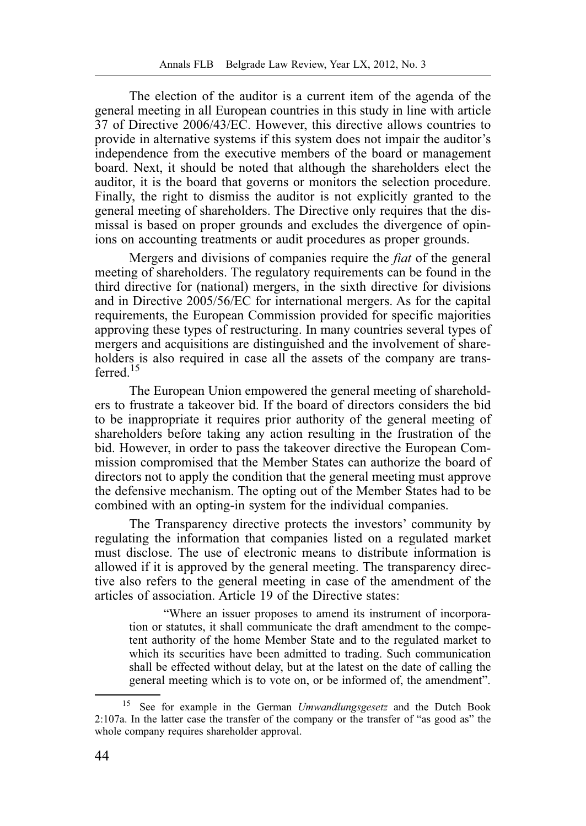The election of the auditor is a current item of the agenda of the general meeting in all European countries in this study in line with article 37 of Directive 2006/43/EC. However, this directive allows countries to provide in alternative systems if this system does not impair the auditor's independence from the executive members of the board or management board. Next, it should be noted that although the shareholders elect the auditor, it is the board that governs or monitors the selection procedure. Finally, the right to dismiss the auditor is not explicitly granted to the general meeting of shareholders. The Directive only requires that the dismissal is based on proper grounds and excludes the divergence of opinions on accounting treatments or audit procedures as proper grounds.

Mergers and divisions of companies require the *fiat* of the general meeting of shareholders. The regulatory requirements can be found in the third directive for (national) mergers, in the sixth directive for divisions and in Directive 2005/56/EC for international mergers. As for the capital requirements, the European Commission provided for specific majorities approving these types of restructuring. In many countries several types of mergers and acquisitions are distinguished and the involvement of shareholders is also required in case all the assets of the company are transferred<sup>15</sup>

The European Union empowered the general meeting of shareholders to frustrate a takeover bid. If the board of directors considers the bid to be inappropriate it requires prior authority of the general meeting of shareholders before taking any action resulting in the frustration of the bid. However, in order to pass the takeover directive the European Commission compromised that the Member States can authorize the board of directors not to apply the condition that the general meeting must approve the defensive mechanism. The opting out of the Member States had to be combined with an opting-in system for the individual companies.

The Transparency directive protects the investors' community by regulating the information that companies listed on a regulated market must disclose. The use of electronic means to distribute information is allowed if it is approved by the general meeting. The transparency directive also refers to the general meeting in case of the amendment of the articles of association. Article 19 of the Directive states:

"Where an issuer proposes to amend its instrument of incorporation or statutes, it shall communicate the draft amendment to the competent authority of the home Member State and to the regulated market to which its securities have been admitted to trading. Such communication shall be effected without delay, but at the latest on the date of calling the general meeting which is to vote on, or be informed of, the amendment".

<sup>15</sup> See for example in the German *Umwandlungsgesetz* and the Dutch Book 2:107a. In the latter case the transfer of the company or the transfer of "as good as" the whole company requires shareholder approval.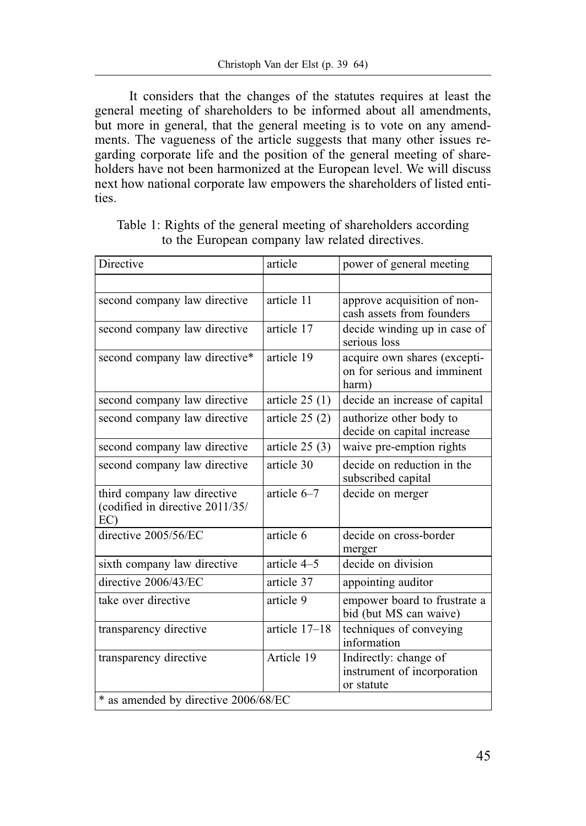It considers that the changes of the statutes requires at least the general meeting of shareholders to be informed about all amendments, but more in general, that the general meeting is to vote on any amendments. The vagueness of the article suggests that many other issues regarding corporate life and the position of the general meeting of shareholders have not been harmonized at the European level. We will discuss next how national corporate law empowers the shareholders of listed entities.

| Directive                                                             | article         | power of general meeting                                             |
|-----------------------------------------------------------------------|-----------------|----------------------------------------------------------------------|
|                                                                       |                 |                                                                      |
| second company law directive                                          | article 11      | approve acquisition of non-<br>cash assets from founders             |
| second company law directive                                          | article 17      | decide winding up in case of<br>serious loss                         |
| second company law directive*                                         | article 19      | acquire own shares (excepti-<br>on for serious and imminent<br>harm) |
| second company law directive                                          | article $25(1)$ | decide an increase of capital                                        |
| second company law directive                                          | article $25(2)$ | authorize other body to<br>decide on capital increase                |
| second company law directive                                          | article $25(3)$ | waive pre-emption rights                                             |
| second company law directive                                          | article 30      | decide on reduction in the<br>subscribed capital                     |
| third company law directive<br>(codified in directive 2011/35/<br>EC) | article 6–7     | decide on merger                                                     |
| directive 2005/56/EC                                                  | article 6       | decide on cross-border<br>merger                                     |
| sixth company law directive                                           | article 4–5     | decide on division                                                   |
| directive 2006/43/EC                                                  | article 37      | appointing auditor                                                   |
| take over directive                                                   | article 9       | empower board to frustrate a<br>bid (but MS can waive)               |
| transparency directive                                                | article 17-18   | techniques of conveying<br>information                               |
| transparency directive                                                | Article 19      | Indirectly: change of<br>instrument of incorporation<br>or statute   |
| * as amended by directive 2006/68/EC                                  |                 |                                                                      |

Table 1: Rights of the general meeting of shareholders according to the European company law related directives.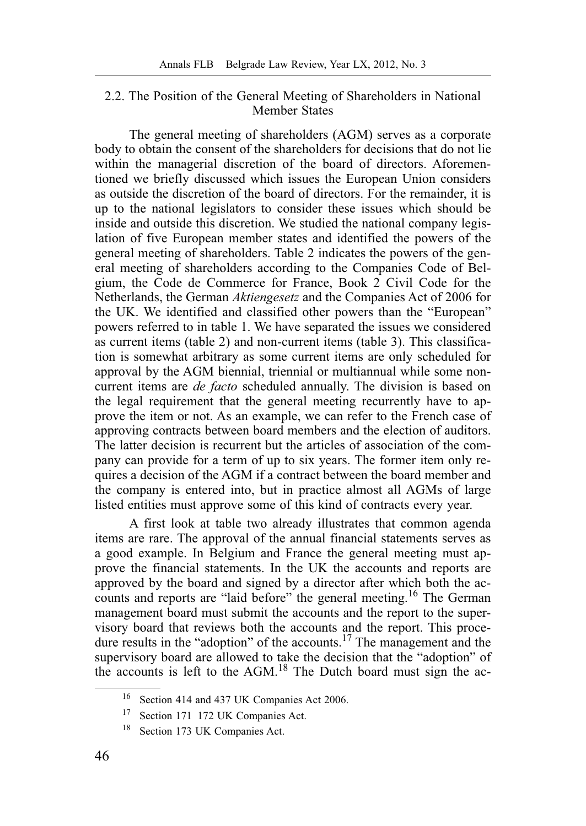### 2.2. The Position of the General Meeting of Shareholders in National Member States

The general meeting of shareholders (AGM) serves as a corporate body to obtain the consent of the shareholders for decisions that do not lie within the managerial discretion of the board of directors. Aforementioned we briefly discussed which issues the European Union considers as outside the discretion of the board of directors. For the remainder, it is up to the national legislators to consider these issues which should be inside and outside this discretion. We studied the national company legislation of five European member states and identified the powers of the general meeting of shareholders. Table 2 indicates the powers of the general meeting of shareholders according to the Companies Code of Belgium, the Code de Commerce for France, Book 2 Civil Code for the Netherlands, the German *Aktiengesetz* and the Companies Act of 2006 for the UK. We identified and classified other powers than the "European" powers referred to in table 1. We have separated the issues we considered as current items (table 2) and non-current items (table 3). This classification is somewhat arbitrary as some current items are only scheduled for approval by the AGM biennial, triennial or multiannual while some noncurrent items are *de facto* scheduled annually. The division is based on the legal requirement that the general meeting recurrently have to approve the item or not. As an example, we can refer to the French case of approving contracts between board members and the election of auditors. The latter decision is recurrent but the articles of association of the company can provide for a term of up to six years. The former item only requires a decision of the AGM if a contract between the board member and the company is entered into, but in practice almost all AGMs of large listed entities must approve some of this kind of contracts every year.

A first look at table two already illustrates that common agenda items are rare. The approval of the annual financial statements serves as a good example. In Belgium and France the general meeting must approve the financial statements. In the UK the accounts and reports are approved by the board and signed by a director after which both the accounts and reports are "laid before" the general meeting.16 The German management board must submit the accounts and the report to the supervisory board that reviews both the accounts and the report. This procedure results in the "adoption" of the accounts.<sup>17</sup> The management and the supervisory board are allowed to take the decision that the "adoption" of the accounts is left to the AGM.<sup>18</sup> The Dutch board must sign the ac-

<sup>16</sup> Section 414 and 437 UK Companies Act 2006.

Section 171 172 UK Companies Act.

Section 173 UK Companies Act.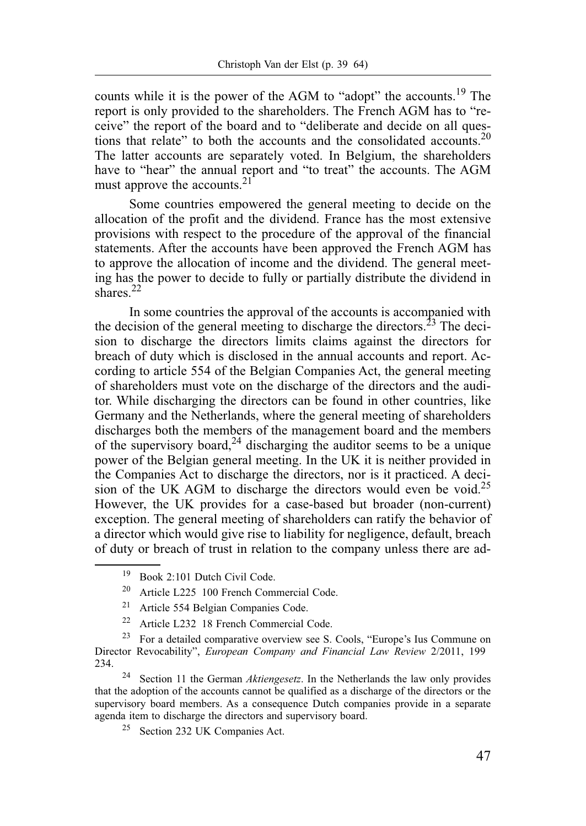counts while it is the power of the AGM to "adopt" the accounts.19 The report is only provided to the shareholders. The French AGM has to "receive" the report of the board and to "deliberate and decide on all questions that relate" to both the accounts and the consolidated accounts.<sup>20</sup> The latter accounts are separately voted. In Belgium, the shareholders have to "hear" the annual report and "to treat" the accounts. The AGM must approve the accounts.<sup>21</sup>

Some countries empowered the general meeting to decide on the allocation of the profit and the dividend. France has the most extensive provisions with respect to the procedure of the approval of the financial statements. After the accounts have been approved the French AGM has to approve the allocation of income and the dividend. The general meeting has the power to decide to fully or partially distribute the dividend in shares.<sup>22</sup>

In some countries the approval of the accounts is accompanied with the decision of the general meeting to discharge the directors.<sup>23</sup> The decision to discharge the directors limits claims against the directors for breach of duty which is disclosed in the annual accounts and report. According to article 554 of the Belgian Companies Act, the general meeting of shareholders must vote on the discharge of the directors and the auditor. While discharging the directors can be found in other countries, like Germany and the Netherlands, where the general meeting of shareholders discharges both the members of the management board and the members of the supervisory board,<sup>24</sup> discharging the auditor seems to be a unique power of the Belgian general meeting. In the UK it is neither provided in the Companies Act to discharge the directors, nor is it practiced. A decision of the UK AGM to discharge the directors would even be void.<sup>25</sup> However, the UK provides for a case-based but broader (non-current) exception. The general meeting of shareholders can ratify the behavior of a director which would give rise to liability for negligence, default, breach of duty or breach of trust in relation to the company unless there are ad-

<sup>19</sup> Book 2:101 Dutch Civil Code.

<sup>20</sup> Article L225 100 French Commercial Code.

<sup>21</sup> Article 554 Belgian Companies Code.

<sup>22</sup> Article L232 18 French Commercial Code.

<sup>23</sup> For a detailed comparative overview see S. Cools, "Europe's Ius Commune on Director Revocability", *European Company and Financial Law Review* 2/2011, 199 234.

Section 11 the German *Aktiengesetz*. In the Netherlands the law only provides that the adoption of the accounts cannot be qualified as a discharge of the directors or the supervisory board members. As a consequence Dutch companies provide in a separate agenda item to discharge the directors and supervisory board.

<sup>25</sup> Section 232 UK Companies Act.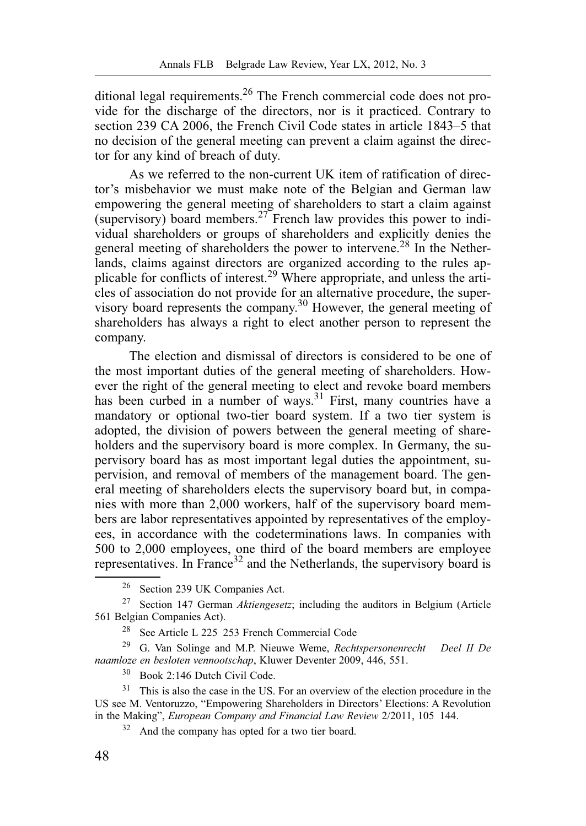ditional legal requirements.<sup>26</sup> The French commercial code does not provide for the discharge of the directors, nor is it practiced. Contrary to section 239 CA 2006, the French Civil Code states in article 1843–5 that no decision of the general meeting can prevent a claim against the director for any kind of breach of duty.

As we referred to the non-current UK item of ratification of director's misbehavior we must make note of the Belgian and German law empowering the general meeting of shareholders to start a claim against (supervisory) board members.<sup>27</sup> French law provides this power to individual shareholders or groups of shareholders and explicitly denies the general meeting of shareholders the power to intervene.28 In the Netherlands, claims against directors are organized according to the rules applicable for conflicts of interest.29 Where appropriate, and unless the articles of association do not provide for an alternative procedure, the supervisory board represents the company.30 However, the general meeting of shareholders has always a right to elect another person to represent the company.

The election and dismissal of directors is considered to be one of the most important duties of the general meeting of shareholders. However the right of the general meeting to elect and revoke board members has been curbed in a number of ways.<sup>31</sup> First, many countries have a mandatory or optional two-tier board system. If a two tier system is adopted, the division of powers between the general meeting of shareholders and the supervisory board is more complex. In Germany, the supervisory board has as most important legal duties the appointment, supervision, and removal of members of the management board. The general meeting of shareholders elects the supervisory board but, in companies with more than 2,000 workers, half of the supervisory board members are labor representatives appointed by representatives of the employees, in accordance with the codeterminations laws. In companies with 500 to 2,000 employees, one third of the board members are employee representatives. In France<sup>32</sup> and the Netherlands, the supervisory board is

29 G. Van Solinge and M.P. Nieuwe Weme, *Rechtspersonenrecht Deel II De naamloze en besloten vennootschap*, Kluwer Deventer 2009, 446, 551.

30 Book 2:146 Dutch Civil Code.

<sup>26</sup> Section 239 UK Companies Act.

<sup>27</sup> Section 147 German *Aktiengesetz*; including the auditors in Belgium (Article 561 Belgian Companies Act).

<sup>28</sup> See Article L 225 253 French Commercial Code

 $31$  This is also the case in the US. For an overview of the election procedure in the US see M. Ventoruzzo, "Empowering Shareholders in Directors' Elections: A Revolution in the Making", *European Company and Financial Law Review* 2/2011, 105 144.

<sup>32</sup> And the company has opted for a two tier board.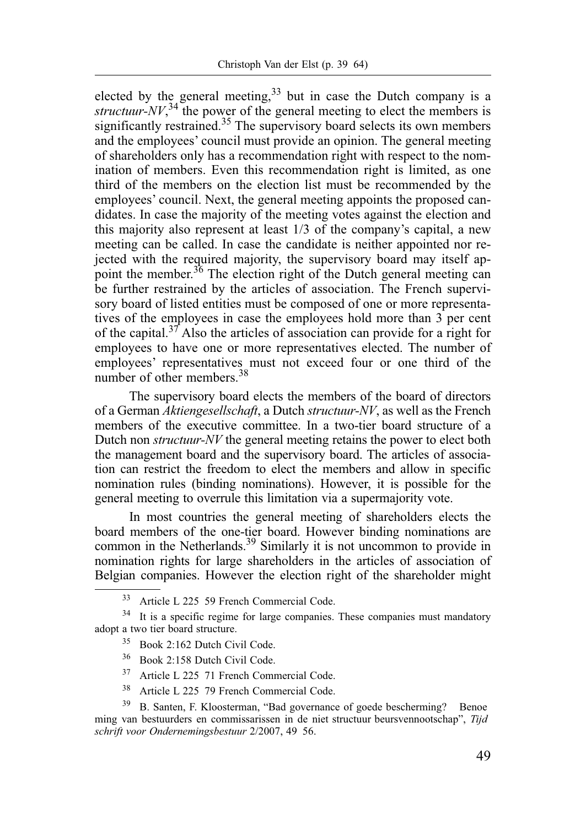elected by the general meeting, $33$  but in case the Dutch company is a *structuur-NV*,<sup>34</sup> the power of the general meeting to elect the members is significantly restrained.<sup>35</sup> The supervisory board selects its own members and the employees' council must provide an opinion. The general meeting of shareholders only has a recommendation right with respect to the nomination of members. Even this recommendation right is limited, as one third of the members on the election list must be recommended by the employees' council. Next, the general meeting appoints the proposed candidates. In case the majority of the meeting votes against the election and this majority also represent at least 1/3 of the company's capital, a new meeting can be called. In case the candidate is neither appointed nor rejected with the required majority, the supervisory board may itself appoint the member.<sup>36</sup> The election right of the Dutch general meeting can be further restrained by the articles of association. The French supervisory board of listed entities must be composed of one or more representatives of the employees in case the employees hold more than 3 per cent of the capital.<sup>37</sup> Also the articles of association can provide for a right for employees to have one or more representatives elected. The number of employees' representatives must not exceed four or one third of the number of other members.<sup>38</sup>

The supervisory board elects the members of the board of directors of a German *Aktiengesellschaft*, a Dutch *structuur-NV*, as well as the French members of the executive committee. In a two-tier board structure of a Dutch non *structuur-NV* the general meeting retains the power to elect both the management board and the supervisory board. The articles of association can restrict the freedom to elect the members and allow in specific nomination rules (binding nominations). However, it is possible for the general meeting to overrule this limitation via a supermajority vote.

In most countries the general meeting of shareholders elects the board members of the one-tier board. However binding nominations are common in the Netherlands.<sup>39</sup> Similarly it is not uncommon to provide in nomination rights for large shareholders in the articles of association of Belgian companies. However the election right of the shareholder might

- 35 Book 2:162 Dutch Civil Code.
- 36 Book 2:158 Dutch Civil Code.
- <sup>37</sup> Article L 225 71 French Commercial Code.
- 38 Article L 225 79 French Commercial Code.

<sup>33</sup> Article L 225 59 French Commercial Code.

<sup>&</sup>lt;sup>34</sup> It is a specific regime for large companies. These companies must mandatory adopt a two tier board structure.

<sup>39</sup> B. Santen, F. Kloosterman, "Bad governance of goede bescherming? Benoe ming van bestuurders en commissarissen in de niet structuur beursvennootschap", *Tijd schrift voor Ondernemingsbestuur* 2/2007, 49 56.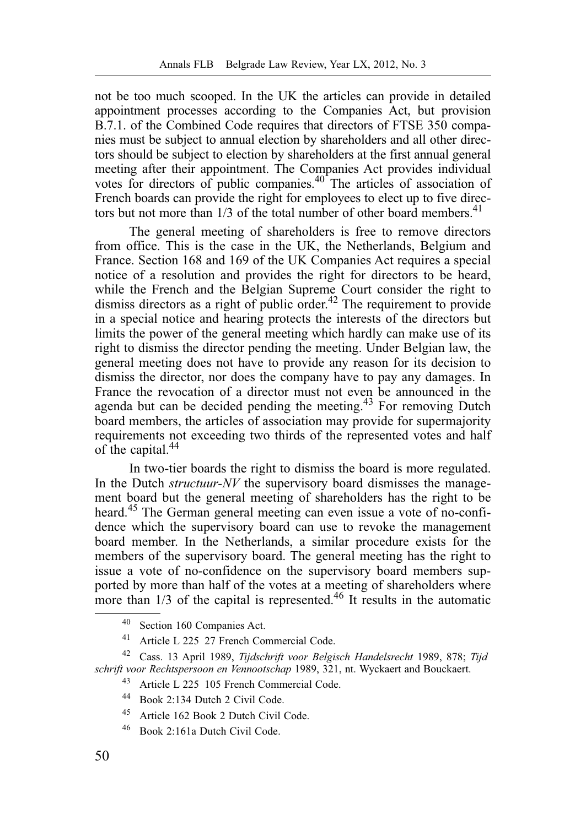not be too much scooped. In the UK the articles can provide in detailed appointment processes according to the Companies Act, but provision B.7.1. of the Combined Code requires that directors of FTSE 350 companies must be subject to annual election by shareholders and all other directors should be subject to election by shareholders at the first annual general meeting after their appointment. The Companies Act provides individual votes for directors of public companies.40 The articles of association of French boards can provide the right for employees to elect up to five directors but not more than  $1/3$  of the total number of other board members.<sup>41</sup>

The general meeting of shareholders is free to remove directors from office. This is the case in the UK, the Netherlands, Belgium and France. Section 168 and 169 of the UK Companies Act requires a special notice of a resolution and provides the right for directors to be heard, while the French and the Belgian Supreme Court consider the right to dismiss directors as a right of public order.<sup>42</sup> The requirement to provide in a special notice and hearing protects the interests of the directors but limits the power of the general meeting which hardly can make use of its right to dismiss the director pending the meeting. Under Belgian law, the general meeting does not have to provide any reason for its decision to dismiss the director, nor does the company have to pay any damages. In France the revocation of a director must not even be announced in the agenda but can be decided pending the meeting.<sup>43</sup> For removing Dutch board members, the articles of association may provide for supermajority requirements not exceeding two thirds of the represented votes and half of the capital.<sup>44</sup>

In two-tier boards the right to dismiss the board is more regulated. In the Dutch *structuur-NV* the supervisory board dismisses the management board but the general meeting of shareholders has the right to be heard.45 The German general meeting can even issue a vote of no-confidence which the supervisory board can use to revoke the management board member. In the Netherlands, a similar procedure exists for the members of the supervisory board. The general meeting has the right to issue a vote of no-confidence on the supervisory board members supported by more than half of the votes at a meeting of shareholders where more than  $1/3$  of the capital is represented.<sup>46</sup> It results in the automatic

45 Article 162 Book 2 Dutch Civil Code.

<sup>40</sup> Section 160 Companies Act.

<sup>41</sup> Article L 225 27 French Commercial Code.

<sup>42</sup> Cass. 13 April 1989, *Tijdschrift voor Belgisch Handelsrecht* 1989, 878; *Tijd schrift voor Rechtspersoon en Vennootschap* 1989, 321, nt. Wyckaert and Bouckaert.

<sup>43</sup> Article L 225 105 French Commercial Code.

<sup>44</sup> Book 2:134 Dutch 2 Civil Code.

<sup>46</sup> Book 2:161a Dutch Civil Code.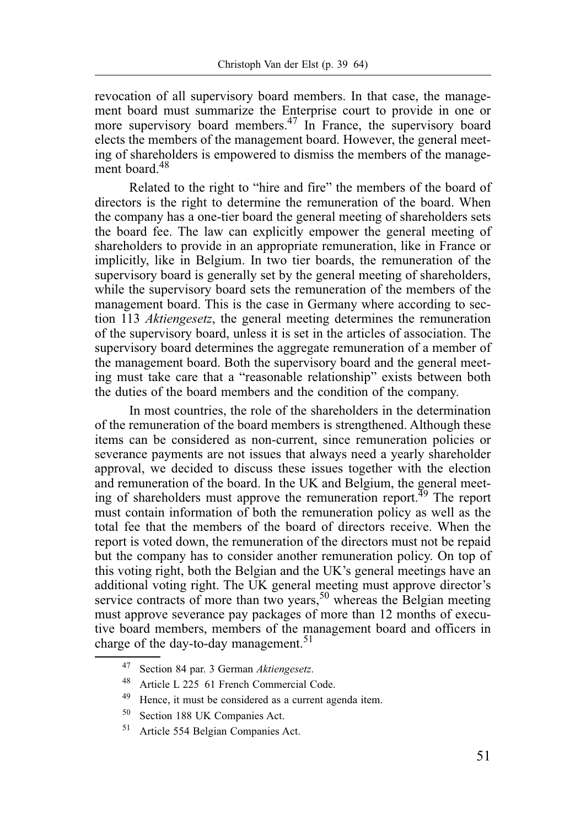revocation of all supervisory board members. In that case, the management board must summarize the Enterprise court to provide in one or more supervisory board members.<sup>47</sup> In France, the supervisory board elects the members of the management board. However, the general meeting of shareholders is empowered to dismiss the members of the management board.48

Related to the right to "hire and fire" the members of the board of directors is the right to determine the remuneration of the board. When the company has a one-tier board the general meeting of shareholders sets the board fee. The law can explicitly empower the general meeting of shareholders to provide in an appropriate remuneration, like in France or implicitly, like in Belgium. In two tier boards, the remuneration of the supervisory board is generally set by the general meeting of shareholders, while the supervisory board sets the remuneration of the members of the management board. This is the case in Germany where according to section 113 *Aktiengesetz*, the general meeting determines the remuneration of the supervisory board, unless it is set in the articles of association. The supervisory board determines the aggregate remuneration of a member of the management board. Both the supervisory board and the general meeting must take care that a "reasonable relationship" exists between both the duties of the board members and the condition of the company.

In most countries, the role of the shareholders in the determination of the remuneration of the board members is strengthened. Although these items can be considered as non-current, since remuneration policies or severance payments are not issues that always need a yearly shareholder approval, we decided to discuss these issues together with the election and remuneration of the board. In the UK and Belgium, the general meeting of shareholders must approve the remuneration report.<sup>49</sup> The report must contain information of both the remuneration policy as well as the total fee that the members of the board of directors receive. When the report is voted down, the remuneration of the directors must not be repaid but the company has to consider another remuneration policy. On top of this voting right, both the Belgian and the UK's general meetings have an additional voting right. The UK general meeting must approve director's service contracts of more than two years,<sup>50</sup> whereas the Belgian meeting must approve severance pay packages of more than 12 months of executive board members, members of the management board and officers in charge of the day-to-day management.<sup>51</sup>

<sup>47</sup> Section 84 par. 3 German *Aktiengesetz*.

<sup>48</sup> Article L 225 61 French Commercial Code.

<sup>49</sup> Hence, it must be considered as a current agenda item.

<sup>50</sup> Section 188 UK Companies Act.

<sup>51</sup> Article 554 Belgian Companies Act.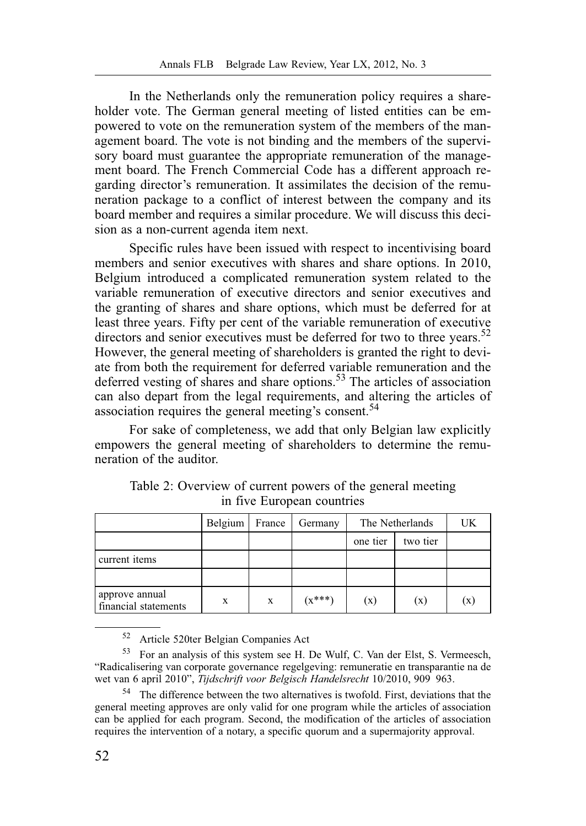In the Netherlands only the remuneration policy requires a shareholder vote. The German general meeting of listed entities can be empowered to vote on the remuneration system of the members of the management board. The vote is not binding and the members of the supervisory board must guarantee the appropriate remuneration of the management board. The French Commercial Code has a different approach regarding director's remuneration. It assimilates the decision of the remuneration package to a conflict of interest between the company and its board member and requires a similar procedure. We will discuss this decision as a non-current agenda item next.

Specific rules have been issued with respect to incentivising board members and senior executives with shares and share options. In 2010, Belgium introduced a complicated remuneration system related to the variable remuneration of executive directors and senior executives and the granting of shares and share options, which must be deferred for at least three years. Fifty per cent of the variable remuneration of executive directors and senior executives must be deferred for two to three years.<sup>52</sup> However, the general meeting of shareholders is granted the right to deviate from both the requirement for deferred variable remuneration and the deferred vesting of shares and share options.<sup>53</sup> The articles of association can also depart from the legal requirements, and altering the articles of association requires the general meeting's consent.<sup>54</sup>

For sake of completeness, we add that only Belgian law explicitly empowers the general meeting of shareholders to determine the remuneration of the auditor.

|                                        | Belgium | France | Germany  | The Netherlands |          | UK |
|----------------------------------------|---------|--------|----------|-----------------|----------|----|
|                                        |         |        |          | one tier        | two tier |    |
| current items                          |         |        |          |                 |          |    |
|                                        |         |        |          |                 |          |    |
| approve annual<br>financial statements | X       | X      | $(x***)$ | (x)             | (x)      | (X |

Table 2: Overview of current powers of the general meeting in five European countries

52 Article 520ter Belgian Companies Act

<sup>53</sup> For an analysis of this system see H. De Wulf, C. Van der Elst, S. Vermeesch, "Radicalisering van corporate governance regelgeving: remuneratie en transparantie na de wet van 6 april 2010", *Tijdschrift voor Belgisch Handelsrecht* 10/2010, 909 963.

<sup>54</sup> The difference between the two alternatives is twofold. First, deviations that the general meeting approves are only valid for one program while the articles of association can be applied for each program. Second, the modification of the articles of association requires the intervention of a notary, a specific quorum and a supermajority approval.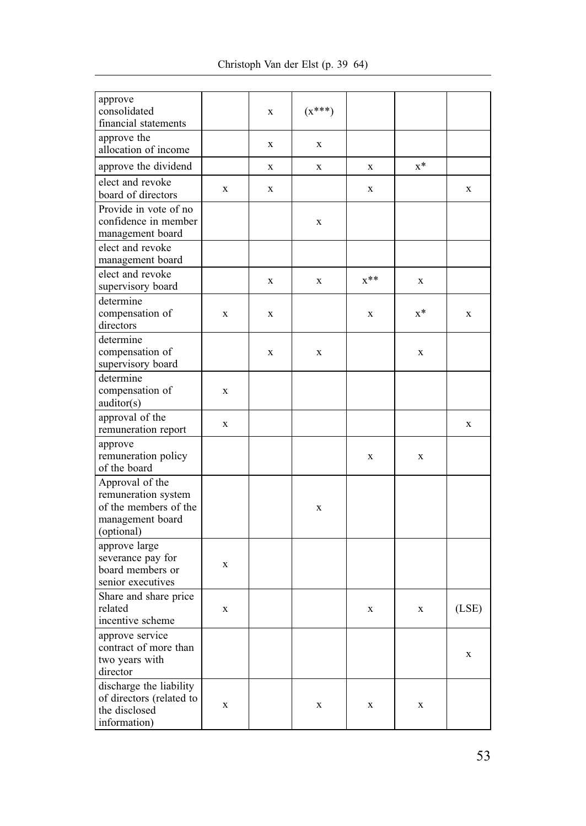| approve<br>consolidated<br>financial statements                                                   |             | X | $(x***)$    |             |       |       |
|---------------------------------------------------------------------------------------------------|-------------|---|-------------|-------------|-------|-------|
| approve the<br>allocation of income                                                               |             | X | X           |             |       |       |
| approve the dividend                                                                              |             | X | X           | X           | $x^*$ |       |
| elect and revoke<br>board of directors                                                            | X           | X |             | $\mathbf X$ |       | X     |
| Provide in vote of no<br>confidence in member<br>management board                                 |             |   | $\mathbf X$ |             |       |       |
| elect and revoke<br>management board                                                              |             |   |             |             |       |       |
| elect and revoke<br>supervisory board                                                             |             | X | X           | $x^{**}$    | X     |       |
| determine<br>compensation of<br>directors                                                         | X           | X |             | X           | $x^*$ | X     |
| determine<br>compensation of<br>supervisory board                                                 |             | X | X           |             | X     |       |
| determine<br>compensation of<br>auditor(s)                                                        | $\mathbf X$ |   |             |             |       |       |
| approval of the<br>remuneration report                                                            | $\mathbf X$ |   |             |             |       | X     |
| approve<br>remuneration policy<br>of the board                                                    |             |   |             | X           | X     |       |
| Approval of the<br>remuneration system<br>of the members of the<br>management board<br>(optional) |             |   | X           |             |       |       |
| approve large<br>severance pay for<br>board members or<br>senior executives                       | X           |   |             |             |       |       |
| Share and share price<br>related<br>incentive scheme                                              | $\mathbf X$ |   |             | $\mathbf X$ | X     | (LSE) |
| approve service<br>contract of more than<br>two years with<br>director                            |             |   |             |             |       | X     |
| discharge the liability<br>of directors (related to<br>the disclosed<br>information)              | X           |   | X           | X           | X     |       |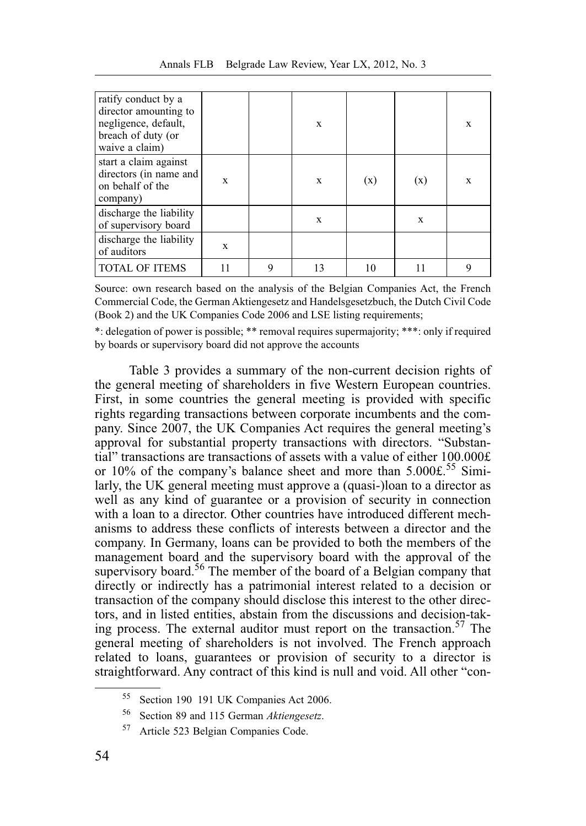| Annals FLB Belgrade Law Review, Year LX, 2012, No. 3 |  |  |  |  |  |  |  |  |
|------------------------------------------------------|--|--|--|--|--|--|--|--|
|------------------------------------------------------|--|--|--|--|--|--|--|--|

| ratify conduct by a<br>director amounting to<br>negligence, default,<br>breach of duty (or<br>waive a claim) |    |   | X  |     |     | X           |
|--------------------------------------------------------------------------------------------------------------|----|---|----|-----|-----|-------------|
| start a claim against<br>directors (in name and<br>on behalf of the<br>company)                              | X  |   | X  | (x) | (x) | $\mathbf x$ |
| discharge the liability<br>of supervisory board                                                              |    |   | X  |     | X   |             |
| discharge the liability<br>of auditors                                                                       | X  |   |    |     |     |             |
| <b>TOTAL OF ITEMS</b>                                                                                        | 11 | Q | 13 | 10  | 11  | 9           |

Source: own research based on the analysis of the Belgian Companies Act, the French Commercial Code, the German Aktiengesetz and Handelsgesetzbuch, the Dutch Civil Code (Book 2) and the UK Companies Code 2006 and LSE listing requirements;

\*: delegation of power is possible; \*\* removal requires supermajority; \*\*\*: only if required by boards or supervisory board did not approve the accounts

Table 3 provides a summary of the non-current decision rights of the general meeting of shareholders in five Western European countries. First, in some countries the general meeting is provided with specific rights regarding transactions between corporate incumbents and the company. Since 2007, the UK Companies Act requires the general meeting's approval for substantial property transactions with directors. "Substantial" transactions are transactions of assets with a value of either 100.000£ or 10% of the company's balance sheet and more than  $5.000f^{55}$  Similarly, the UK general meeting must approve a (quasi-)loan to a director as well as any kind of guarantee or a provision of security in connection with a loan to a director. Other countries have introduced different mechanisms to address these conflicts of interests between a director and the company. In Germany, loans can be provided to both the members of the management board and the supervisory board with the approval of the supervisory board.<sup>56</sup> The member of the board of a Belgian company that directly or indirectly has a patrimonial interest related to a decision or transaction of the company should disclose this interest to the other directors, and in listed entities, abstain from the discussions and decision-taking process. The external auditor must report on the transaction.<sup>57</sup> The general meeting of shareholders is not involved. The French approach related to loans, guarantees or provision of security to a director is straightforward. Any contract of this kind is null and void. All other "con-

<sup>55</sup> Section 190 191 UK Companies Act 2006.

<sup>56</sup> Section 89 and 115 German *Aktiengesetz*.

<sup>57</sup> Article 523 Belgian Companies Code.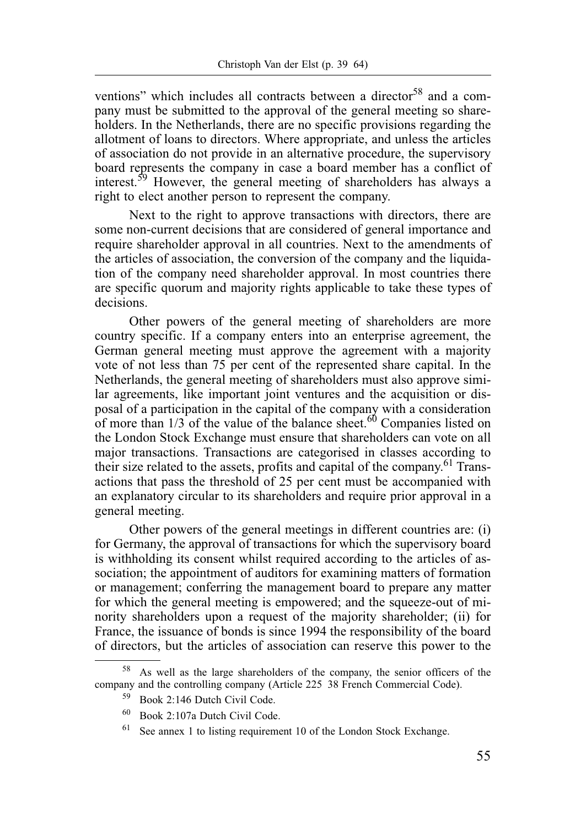ventions" which includes all contracts between a director<sup>58</sup> and a company must be submitted to the approval of the general meeting so shareholders. In the Netherlands, there are no specific provisions regarding the allotment of loans to directors. Where appropriate, and unless the articles of association do not provide in an alternative procedure, the supervisory board represents the company in case a board member has a conflict of interest.59 However, the general meeting of shareholders has always a right to elect another person to represent the company.

Next to the right to approve transactions with directors, there are some non-current decisions that are considered of general importance and require shareholder approval in all countries. Next to the amendments of the articles of association, the conversion of the company and the liquidation of the company need shareholder approval. In most countries there are specific quorum and majority rights applicable to take these types of decisions.

Other powers of the general meeting of shareholders are more country specific. If a company enters into an enterprise agreement, the German general meeting must approve the agreement with a majority vote of not less than 75 per cent of the represented share capital. In the Netherlands, the general meeting of shareholders must also approve similar agreements, like important joint ventures and the acquisition or disposal of a participation in the capital of the company with a consideration of more than  $1/3$  of the value of the balance sheet.<sup>60</sup> Companies listed on the London Stock Exchange must ensure that shareholders can vote on all major transactions. Transactions are categorised in classes according to their size related to the assets, profits and capital of the company.<sup>61</sup> Transactions that pass the threshold of 25 per cent must be accompanied with an explanatory circular to its shareholders and require prior approval in a general meeting.

Other powers of the general meetings in different countries are: (i) for Germany, the approval of transactions for which the supervisory board is withholding its consent whilst required according to the articles of association; the appointment of auditors for examining matters of formation or management; conferring the management board to prepare any matter for which the general meeting is empowered; and the squeeze-out of minority shareholders upon a request of the majority shareholder; (ii) for France, the issuance of bonds is since 1994 the responsibility of the board of directors, but the articles of association can reserve this power to the

<sup>58</sup> As well as the large shareholders of the company, the senior officers of the company and the controlling company (Article 225 38 French Commercial Code).

<sup>59</sup> Book 2:146 Dutch Civil Code.

<sup>60</sup> Book 2:107a Dutch Civil Code.

 $61$  See annex 1 to listing requirement 10 of the London Stock Exchange.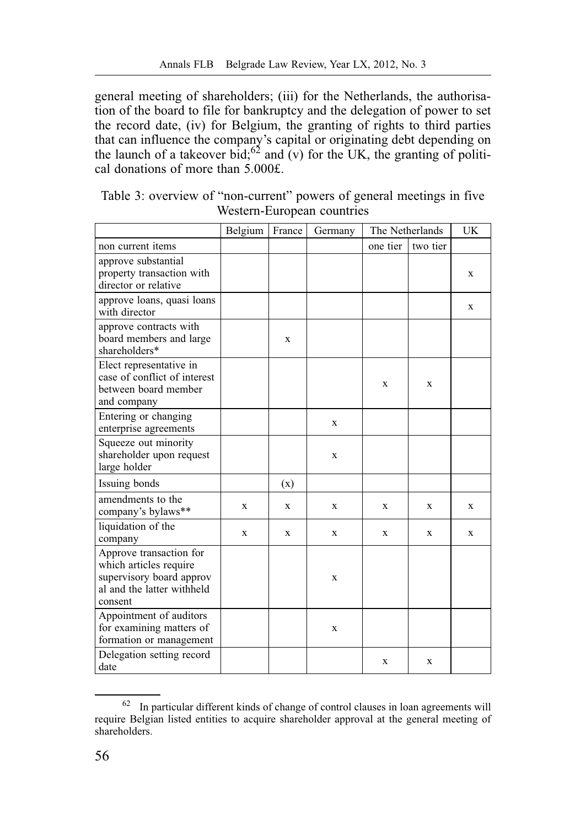general meeting of shareholders; (iii) for the Netherlands, the authorisation of the board to file for bankruptcy and the delegation of power to set the record date, (iv) for Belgium, the granting of rights to third parties that can influence the company's capital or originating debt depending on the launch of a takeover bid;<sup>62</sup> and (v) for the UK, the granting of political donations of more than 5.000£.

|                                                                                                                        | Belgium | France | Germany     | The Netherlands |          | <b>UK</b> |
|------------------------------------------------------------------------------------------------------------------------|---------|--------|-------------|-----------------|----------|-----------|
| non current items                                                                                                      |         |        |             | one tier        | two tier |           |
| approve substantial<br>property transaction with<br>director or relative                                               |         |        |             |                 |          | X         |
| approve loans, quasi loans<br>with director                                                                            |         |        |             |                 |          | X         |
| approve contracts with<br>board members and large<br>shareholders*                                                     |         | X      |             |                 |          |           |
| Elect representative in<br>case of conflict of interest<br>between board member<br>and company                         |         |        |             | X               | X        |           |
| Entering or changing<br>enterprise agreements                                                                          |         |        | X           |                 |          |           |
| Squeeze out minority<br>shareholder upon request<br>large holder                                                       |         |        | X           |                 |          |           |
| Issuing bonds                                                                                                          |         | (x)    |             |                 |          |           |
| amendments to the<br>company's bylaws**                                                                                | X       | X      | X           | X               | X        | X         |
| liquidation of the<br>company                                                                                          | X       | X      | X           | X               | X        | X         |
| Approve transaction for<br>which articles require<br>supervisory board approv<br>al and the latter withheld<br>consent |         |        | $\mathbf x$ |                 |          |           |
| Appointment of auditors<br>for examining matters of<br>formation or management                                         |         |        | X           |                 |          |           |
| Delegation setting record<br>date                                                                                      |         |        |             | X               | X        |           |

| Table 3: overview of "non-current" powers of general meetings in five |  |  |  |  |  |  |  |  |
|-----------------------------------------------------------------------|--|--|--|--|--|--|--|--|
| Western-European countries                                            |  |  |  |  |  |  |  |  |

<sup>62</sup> In particular different kinds of change of control clauses in loan agreements will require Belgian listed entities to acquire shareholder approval at the general meeting of shareholders.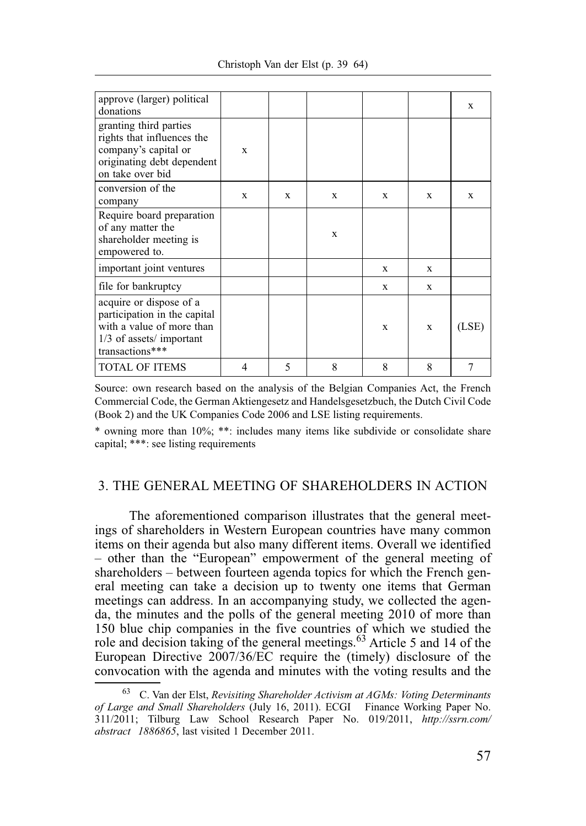| approve (larger) political<br>donations                                                                                             |              |   |   |   |              | X     |
|-------------------------------------------------------------------------------------------------------------------------------------|--------------|---|---|---|--------------|-------|
| granting third parties<br>rights that influences the<br>company's capital or<br>originating debt dependent<br>on take over bid      | $\mathbf{x}$ |   |   |   |              |       |
| conversion of the<br>company                                                                                                        | X            | X | X | X | X            | X     |
| Require board preparation<br>of any matter the<br>shareholder meeting is<br>empowered to.                                           |              |   | X |   |              |       |
| important joint ventures                                                                                                            |              |   |   | X | X            |       |
| file for bankruptcy                                                                                                                 |              |   |   | X | X            |       |
| acquire or dispose of a<br>participation in the capital<br>with a value of more than<br>1/3 of assets/ important<br>transactions*** |              |   |   | X | $\mathbf{x}$ | (LSE) |
| <b>TOTAL OF ITEMS</b>                                                                                                               | 4            | 5 | 8 | 8 | 8            | 7     |

Source: own research based on the analysis of the Belgian Companies Act, the French Commercial Code, the German Aktiengesetz and Handelsgesetzbuch, the Dutch Civil Code (Book 2) and the UK Companies Code 2006 and LSE listing requirements.

\* owning more than 10%; \*\*: includes many items like subdivide or consolidate share capital; \*\*\*: see listing requirements

## 3. THE GENERAL MEETING OF SHAREHOLDERS IN ACTION

The aforementioned comparison illustrates that the general meetings of shareholders in Western European countries have many common items on their agenda but also many different items. Overall we identified – other than the "European" empowerment of the general meeting of shareholders – between fourteen agenda topics for which the French general meeting can take a decision up to twenty one items that German meetings can address. In an accompanying study, we collected the agenda, the minutes and the polls of the general meeting 2010 of more than 150 blue chip companies in the five countries of which we studied the role and decision taking of the general meetings.<sup>63</sup> Article 5 and 14 of the European Directive 2007/36/EC require the (timely) disclosure of the convocation with the agenda and minutes with the voting results and the

<sup>63</sup> C. Van der Elst, *Revisiting Shareholder Activism at AGMs: Voting Determinants of Large and Small Shareholders* (July 16, 2011). ECGI Finance Working Paper No. 311/2011; Tilburg Law School Research Paper No. 019/2011, *http://ssrn.com/ abstract 1886865*, last visited 1 December 2011.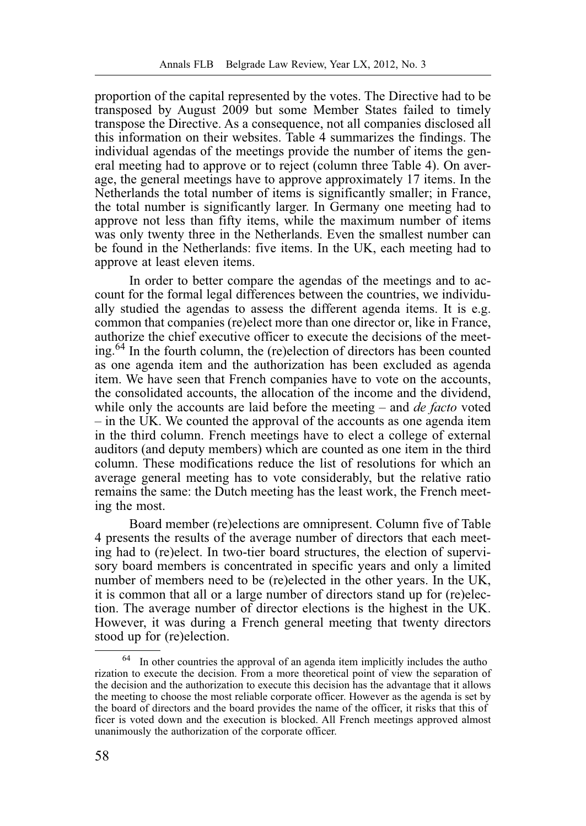proportion of the capital represented by the votes. The Directive had to be transposed by August 2009 but some Member States failed to timely transpose the Directive. As a consequence, not all companies disclosed all this information on their websites. Table 4 summarizes the findings. The individual agendas of the meetings provide the number of items the general meeting had to approve or to reject (column three Table 4). On average, the general meetings have to approve approximately 17 items. In the Netherlands the total number of items is significantly smaller; in France, the total number is significantly larger. In Germany one meeting had to approve not less than fifty items, while the maximum number of items was only twenty three in the Netherlands. Even the smallest number can be found in the Netherlands: five items. In the UK, each meeting had to approve at least eleven items.

In order to better compare the agendas of the meetings and to account for the formal legal differences between the countries, we individually studied the agendas to assess the different agenda items. It is e.g. common that companies (re)elect more than one director or, like in France, authorize the chief executive officer to execute the decisions of the meeting.<sup>64</sup> In the fourth column, the (re)election of directors has been counted as one agenda item and the authorization has been excluded as agenda item. We have seen that French companies have to vote on the accounts, the consolidated accounts, the allocation of the income and the dividend, while only the accounts are laid before the meeting – and *de facto* voted – in the UK. We counted the approval of the accounts as one agenda item in the third column. French meetings have to elect a college of external auditors (and deputy members) which are counted as one item in the third column. These modifications reduce the list of resolutions for which an average general meeting has to vote considerably, but the relative ratio remains the same: the Dutch meeting has the least work, the French meeting the most.

Board member (re)elections are omnipresent. Column five of Table 4 presents the results of the average number of directors that each meeting had to (re)elect. In two-tier board structures, the election of supervisory board members is concentrated in specific years and only a limited number of members need to be (re)elected in the other years. In the UK, it is common that all or a large number of directors stand up for (re)election. The average number of director elections is the highest in the UK. However, it was during a French general meeting that twenty directors stood up for (re)election.

In other countries the approval of an agenda item implicitly includes the autho rization to execute the decision. From a more theoretical point of view the separation of the decision and the authorization to execute this decision has the advantage that it allows the meeting to choose the most reliable corporate officer. However as the agenda is set by the board of directors and the board provides the name of the officer, it risks that this of ficer is voted down and the execution is blocked. All French meetings approved almost unanimously the authorization of the corporate officer.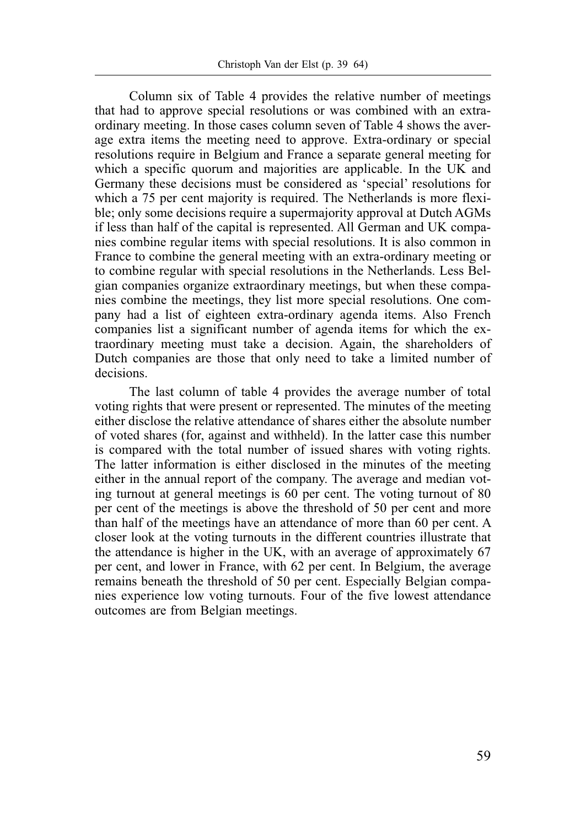Column six of Table 4 provides the relative number of meetings that had to approve special resolutions or was combined with an extraordinary meeting. In those cases column seven of Table 4 shows the average extra items the meeting need to approve. Extra-ordinary or special resolutions require in Belgium and France a separate general meeting for which a specific quorum and majorities are applicable. In the UK and Germany these decisions must be considered as 'special' resolutions for which a 75 per cent majority is required. The Netherlands is more flexible; only some decisions require a supermajority approval at Dutch AGMs if less than half of the capital is represented. All German and UK companies combine regular items with special resolutions. It is also common in France to combine the general meeting with an extra-ordinary meeting or to combine regular with special resolutions in the Netherlands. Less Belgian companies organize extraordinary meetings, but when these companies combine the meetings, they list more special resolutions. One company had a list of eighteen extra-ordinary agenda items. Also French companies list a significant number of agenda items for which the extraordinary meeting must take a decision. Again, the shareholders of Dutch companies are those that only need to take a limited number of decisions.

The last column of table 4 provides the average number of total voting rights that were present or represented. The minutes of the meeting either disclose the relative attendance of shares either the absolute number of voted shares (for, against and withheld). In the latter case this number is compared with the total number of issued shares with voting rights. The latter information is either disclosed in the minutes of the meeting either in the annual report of the company. The average and median voting turnout at general meetings is 60 per cent. The voting turnout of 80 per cent of the meetings is above the threshold of 50 per cent and more than half of the meetings have an attendance of more than 60 per cent. A closer look at the voting turnouts in the different countries illustrate that the attendance is higher in the UK, with an average of approximately 67 per cent, and lower in France, with 62 per cent. In Belgium, the average remains beneath the threshold of 50 per cent. Especially Belgian companies experience low voting turnouts. Four of the five lowest attendance outcomes are from Belgian meetings.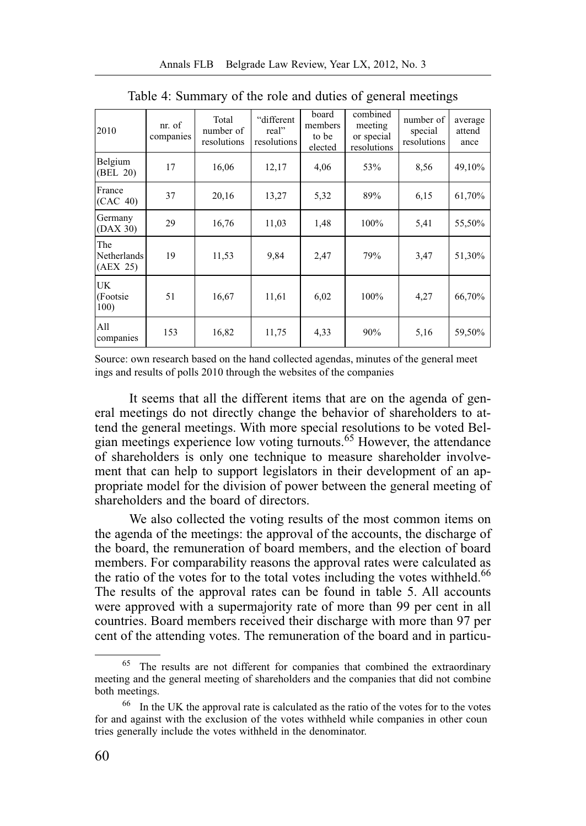| 2010                           | $nr.$ of<br>companies | Total<br>number of<br>resolutions | "different<br>real"<br>resolutions | board<br>members<br>to be<br>elected | combined<br>meeting<br>or special<br>resolutions | number of<br>special<br>resolutions | average<br>attend<br>ance |
|--------------------------------|-----------------------|-----------------------------------|------------------------------------|--------------------------------------|--------------------------------------------------|-------------------------------------|---------------------------|
| Belgium<br>(BEL 20)            | 17                    | 16,06                             | 12,17                              | 4,06                                 | 53%                                              | 8,56                                | 49,10%                    |
| France<br>(CAC 40)             | 37                    | 20,16                             | 13,27                              | 5,32                                 | 89%                                              | 6,15                                | 61,70%                    |
| Germany<br>(DAX 30)            | 29                    | 16,76                             | 11,03                              | 1,48                                 | $100\%$                                          | 5,41                                | 55,50%                    |
| The<br>Netherlands<br>(AEX 25) | 19                    | 11,53                             | 9,84                               | 2,47                                 | 79%                                              | 3,47                                | 51,30%                    |
| UK<br>(Footsie)<br>100)        | 51                    | 16,67                             | 11,61                              | 6,02                                 | $100\%$                                          | 4,27                                | 66,70%                    |
| A11<br>companies               | 153                   | 16,82                             | 11,75                              | 4,33                                 | 90%                                              | 5,16                                | 59,50%                    |

Table 4: Summary of the role and duties of general meetings

Source: own research based on the hand collected agendas, minutes of the general meet ings and results of polls 2010 through the websites of the companies

It seems that all the different items that are on the agenda of general meetings do not directly change the behavior of shareholders to attend the general meetings. With more special resolutions to be voted Belgian meetings experience low voting turnouts.65 However, the attendance of shareholders is only one technique to measure shareholder involvement that can help to support legislators in their development of an appropriate model for the division of power between the general meeting of shareholders and the board of directors.

We also collected the voting results of the most common items on the agenda of the meetings: the approval of the accounts, the discharge of the board, the remuneration of board members, and the election of board members. For comparability reasons the approval rates were calculated as the ratio of the votes for to the total votes including the votes withheld.<sup>66</sup> The results of the approval rates can be found in table 5. All accounts were approved with a supermajority rate of more than 99 per cent in all countries. Board members received their discharge with more than 97 per cent of the attending votes. The remuneration of the board and in particu-

<sup>65</sup> The results are not different for companies that combined the extraordinary meeting and the general meeting of shareholders and the companies that did not combine both meetings.

<sup>66</sup> In the UK the approval rate is calculated as the ratio of the votes for to the votes for and against with the exclusion of the votes withheld while companies in other coun tries generally include the votes withheld in the denominator.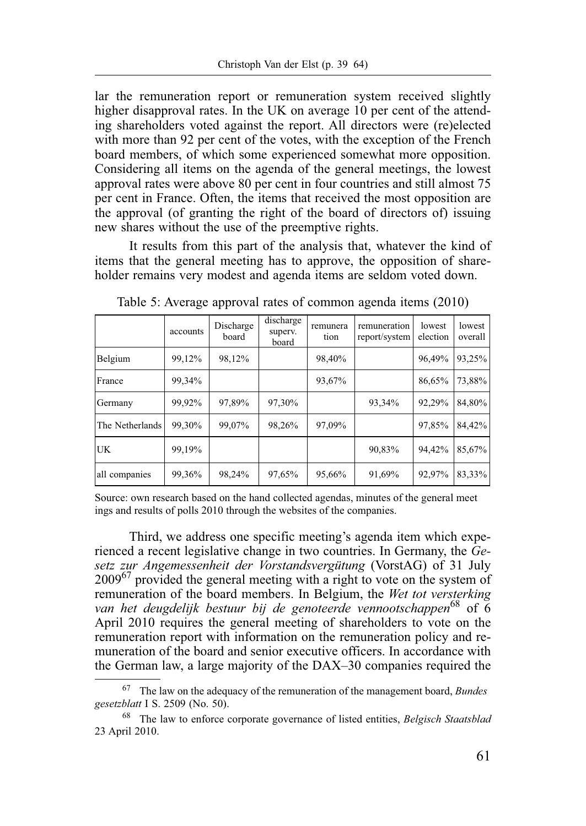lar the remuneration report or remuneration system received slightly higher disapproval rates. In the UK on average 10 per cent of the attending shareholders voted against the report. All directors were (re)elected with more than 92 per cent of the votes, with the exception of the French board members, of which some experienced somewhat more opposition. Considering all items on the agenda of the general meetings, the lowest approval rates were above 80 per cent in four countries and still almost 75 per cent in France. Often, the items that received the most opposition are the approval (of granting the right of the board of directors of) issuing new shares without the use of the preemptive rights.

It results from this part of the analysis that, whatever the kind of items that the general meeting has to approve, the opposition of shareholder remains very modest and agenda items are seldom voted down.

|                 | accounts | Discharge<br>board | discharge<br>superv.<br>board | remunera<br>tion | remuneration<br>report/system | lowest<br>election | lowest<br>overall |
|-----------------|----------|--------------------|-------------------------------|------------------|-------------------------------|--------------------|-------------------|
| Belgium         | 99,12%   | 98,12%             |                               | 98,40%           |                               | 96.49%             | 93,25%            |
| France          | 99,34%   |                    |                               | 93,67%           |                               | 86,65%             | 73,88%            |
| Germany         | 99.92%   | 97,89%             | 97.30%                        |                  | 93,34%                        | 92.29%             | 84.80%            |
| The Netherlands | 99.30%   | 99,07%             | 98,26%                        | 97,09%           |                               | 97.85%             | 84.42%            |
| UK              | 99,19%   |                    |                               |                  | 90,83%                        | 94.42%             | 85,67%            |
| all companies   | 99,36%   | 98,24%             | 97,65%                        | 95,66%           | 91,69%                        | 92,97%             | 83,33%            |

Table 5: Average approval rates of common agenda items (2010)

Source: own research based on the hand collected agendas, minutes of the general meet ings and results of polls 2010 through the websites of the companies.

Third, we address one specific meeting's agenda item which experienced a recent legislative change in two countries. In Germany, the *Gesetz zur Angemessenheit der Vorstandsvergütung* (VorstAG) of 31 July 2009<sup>67</sup> provided the general meeting with a right to vote on the system of remuneration of the board members. In Belgium, the *Wet tot versterking van het deugdelijk bestuur bij de genoteerde vennootschappen*68 of 6 April 2010 requires the general meeting of shareholders to vote on the remuneration report with information on the remuneration policy and remuneration of the board and senior executive officers. In accordance with the German law, a large majority of the DAX–30 companies required the

<sup>67</sup> The law on the adequacy of the remuneration of the management board, *Bundes gesetzblatt* I S. 2509 (No. 50).

<sup>68</sup> The law to enforce corporate governance of listed entities, *Belgisch Staatsblad*  23 April 2010.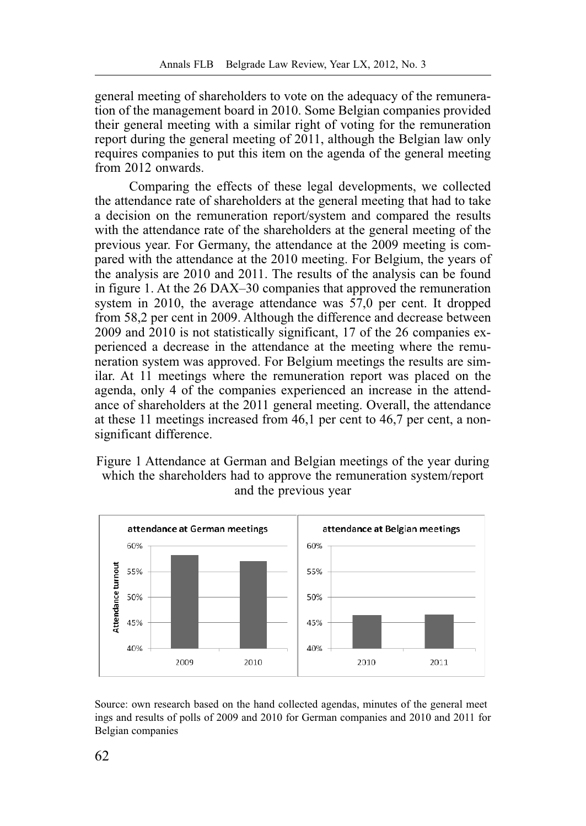general meeting of shareholders to vote on the adequacy of the remuneration of the management board in 2010. Some Belgian companies provided their general meeting with a similar right of voting for the remuneration report during the general meeting of 2011, although the Belgian law only requires companies to put this item on the agenda of the general meeting from 2012 onwards.

Comparing the effects of these legal developments, we collected the attendance rate of shareholders at the general meeting that had to take a decision on the remuneration report/system and compared the results with the attendance rate of the shareholders at the general meeting of the previous year. For Germany, the attendance at the 2009 meeting is compared with the attendance at the 2010 meeting. For Belgium, the years of the analysis are 2010 and 2011. The results of the analysis can be found in figure 1. At the 26 DAX–30 companies that approved the remuneration system in 2010, the average attendance was 57,0 per cent. It dropped from 58,2 per cent in 2009. Although the difference and decrease between 2009 and 2010 is not statistically significant, 17 of the 26 companies experienced a decrease in the attendance at the meeting where the remuneration system was approved. For Belgium meetings the results are similar. At 11 meetings where the remuneration report was placed on the agenda, only 4 of the companies experienced an increase in the attendance of shareholders at the 2011 general meeting. Overall, the attendance at these 11 meetings increased from 46,1 per cent to 46,7 per cent, a nonsignificant difference.

Figure 1 Attendance at German and Belgian meetings of the year during which the shareholders had to approve the remuneration system/report and the previous year



Source: own research based on the hand collected agendas, minutes of the general meet ings and results of polls of 2009 and 2010 for German companies and 2010 and 2011 for Belgian companies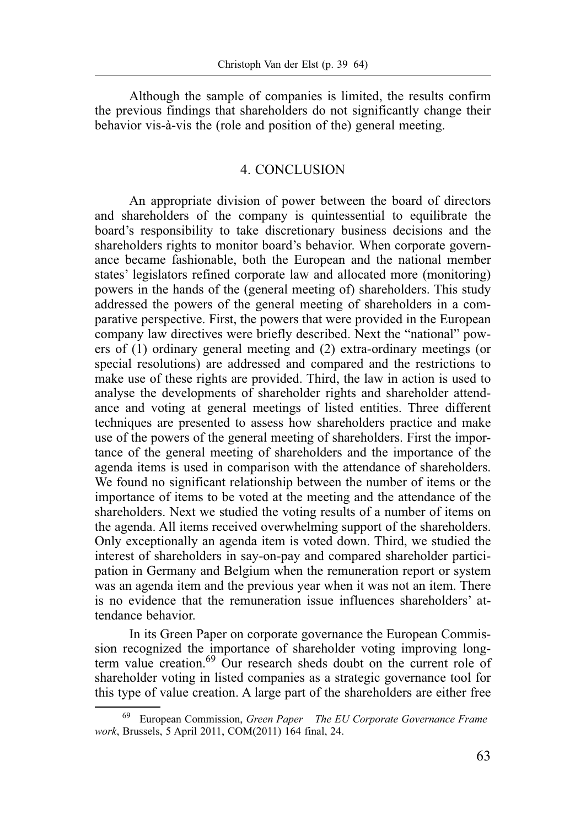Although the sample of companies is limited, the results confirm the previous findings that shareholders do not significantly change their behavior vis-à-vis the (role and position of the) general meeting.

#### 4. CONCLUSION

An appropriate division of power between the board of directors and shareholders of the company is quintessential to equilibrate the board's responsibility to take discretionary business decisions and the shareholders rights to monitor board's behavior. When corporate governance became fashionable, both the European and the national member states' legislators refined corporate law and allocated more (monitoring) powers in the hands of the (general meeting of) shareholders. This study addressed the powers of the general meeting of shareholders in a comparative perspective. First, the powers that were provided in the European company law directives were briefly described. Next the "national" powers of (1) ordinary general meeting and (2) extra-ordinary meetings (or special resolutions) are addressed and compared and the restrictions to make use of these rights are provided. Third, the law in action is used to analyse the developments of shareholder rights and shareholder attendance and voting at general meetings of listed entities. Three different techniques are presented to assess how shareholders practice and make use of the powers of the general meeting of shareholders. First the importance of the general meeting of shareholders and the importance of the agenda items is used in comparison with the attendance of shareholders. We found no significant relationship between the number of items or the importance of items to be voted at the meeting and the attendance of the shareholders. Next we studied the voting results of a number of items on the agenda. All items received overwhelming support of the shareholders. Only exceptionally an agenda item is voted down. Third, we studied the interest of shareholders in say-on-pay and compared shareholder participation in Germany and Belgium when the remuneration report or system was an agenda item and the previous year when it was not an item. There is no evidence that the remuneration issue influences shareholders' attendance behavior.

In its Green Paper on corporate governance the European Commission recognized the importance of shareholder voting improving longterm value creation.<sup>69</sup> Our research sheds doubt on the current role of shareholder voting in listed companies as a strategic governance tool for this type of value creation. A large part of the shareholders are either free

<sup>69</sup> European Commission, *Green Paper The EU Corporate Governance Frame work*, Brussels, 5 April 2011, COM(2011) 164 final, 24.